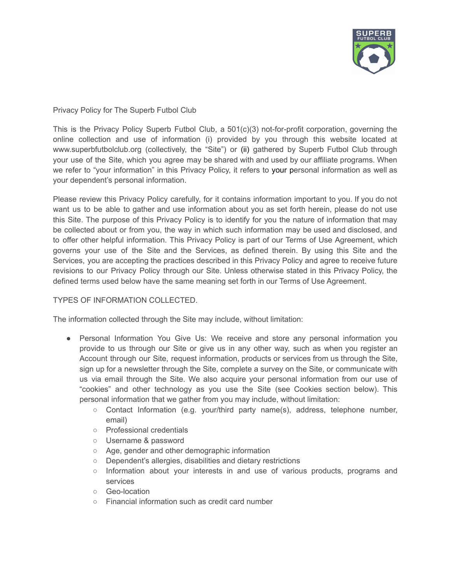

Privacy Policy for The Superb Futbol Club

This is the Privacy Policy Superb Futbol Club, a 501(c)(3) not-for-profit corporation, governing the online collection and use of information (i) provided by you through this website located at www.superbfutbolclub.org (collectively, the "Site") or (ii) gathered by Superb Futbol Club through your use of the Site, which you agree may be shared with and used by our affiliate programs. When we refer to "your information" in this Privacy Policy, it refers to your personal information as well as your dependent's personal information.

Please review this Privacy Policy carefully, for it contains information important to you. If you do not want us to be able to gather and use information about you as set forth herein, please do not use this Site. The purpose of this Privacy Policy is to identify for you the nature of information that may be collected about or from you, the way in which such information may be used and disclosed, and to offer other helpful information. This Privacy Policy is part of our Terms of Use Agreement, which governs your use of the Site and the Services, as defined therein. By using this Site and the Services, you are accepting the practices described in this Privacy Policy and agree to receive future revisions to our Privacy Policy through our Site. Unless otherwise stated in this Privacy Policy, the defined terms used below have the same meaning set forth in our Terms of Use Agreement.

# TYPES OF INFORMATION COLLECTED.

The information collected through the Site may include, without limitation:

- Personal Information You Give Us: We receive and store any personal information you provide to us through our Site or give us in any other way, such as when you register an Account through our Site, request information, products or services from us through the Site, sign up for a newsletter through the Site, complete a survey on the Site, or communicate with us via email through the Site. We also acquire your personal information from our use of "cookies" and other technology as you use the Site (see Cookies section below). This personal information that we gather from you may include, without limitation:
	- Contact Information (e.g. your/third party name(s), address, telephone number, email)
	- Professional credentials
	- Username & password
	- Age, gender and other demographic information
	- Dependent's allergies, disabilities and dietary restrictions
	- Information about your interests in and use of various products, programs and services
	- Geo-location
	- Financial information such as credit card number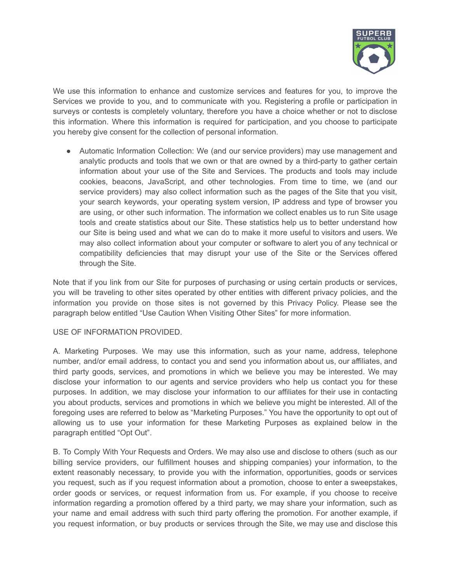

We use this information to enhance and customize services and features for you, to improve the Services we provide to you, and to communicate with you. Registering a profile or participation in surveys or contests is completely voluntary, therefore you have a choice whether or not to disclose this information. Where this information is required for participation, and you choose to participate you hereby give consent for the collection of personal information.

● Automatic Information Collection: We (and our service providers) may use management and analytic products and tools that we own or that are owned by a third-party to gather certain information about your use of the Site and Services. The products and tools may include cookies, beacons, JavaScript, and other technologies. From time to time, we (and our service providers) may also collect information such as the pages of the Site that you visit, your search keywords, your operating system version, IP address and type of browser you are using, or other such information. The information we collect enables us to run Site usage tools and create statistics about our Site. These statistics help us to better understand how our Site is being used and what we can do to make it more useful to visitors and users. We may also collect information about your computer or software to alert you of any technical or compatibility deficiencies that may disrupt your use of the Site or the Services offered through the Site.

Note that if you link from our Site for purposes of purchasing or using certain products or services, you will be traveling to other sites operated by other entities with different privacy policies, and the information you provide on those sites is not governed by this Privacy Policy. Please see the paragraph below entitled "Use Caution When Visiting Other Sites" for more information.

### USE OF INFORMATION PROVIDED.

A. Marketing Purposes. We may use this information, such as your name, address, telephone number, and/or email address, to contact you and send you information about us, our affiliates, and third party goods, services, and promotions in which we believe you may be interested. We may disclose your information to our agents and service providers who help us contact you for these purposes. In addition, we may disclose your information to our affiliates for their use in contacting you about products, services and promotions in which we believe you might be interested. All of the foregoing uses are referred to below as "Marketing Purposes." You have the opportunity to opt out of allowing us to use your information for these Marketing Purposes as explained below in the paragraph entitled "Opt Out".

B. To Comply With Your Requests and Orders. We may also use and disclose to others (such as our billing service providers, our fulfillment houses and shipping companies) your information, to the extent reasonably necessary, to provide you with the information, opportunities, goods or services you request, such as if you request information about a promotion, choose to enter a sweepstakes, order goods or services, or request information from us. For example, if you choose to receive information regarding a promotion offered by a third party, we may share your information, such as your name and email address with such third party offering the promotion. For another example, if you request information, or buy products or services through the Site, we may use and disclose this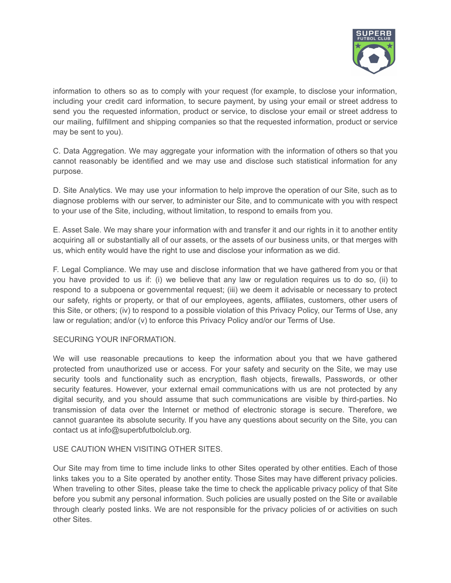

information to others so as to comply with your request (for example, to disclose your information, including your credit card information, to secure payment, by using your email or street address to send you the requested information, product or service, to disclose your email or street address to our mailing, fulfillment and shipping companies so that the requested information, product or service may be sent to you).

C. Data Aggregation. We may aggregate your information with the information of others so that you cannot reasonably be identified and we may use and disclose such statistical information for any purpose.

D. Site Analytics. We may use your information to help improve the operation of our Site, such as to diagnose problems with our server, to administer our Site, and to communicate with you with respect to your use of the Site, including, without limitation, to respond to emails from you.

E. Asset Sale. We may share your information with and transfer it and our rights in it to another entity acquiring all or substantially all of our assets, or the assets of our business units, or that merges with us, which entity would have the right to use and disclose your information as we did.

F. Legal Compliance. We may use and disclose information that we have gathered from you or that you have provided to us if: (i) we believe that any law or regulation requires us to do so, (ii) to respond to a subpoena or governmental request; (iii) we deem it advisable or necessary to protect our safety, rights or property, or that of our employees, agents, affiliates, customers, other users of this Site, or others; (iv) to respond to a possible violation of this Privacy Policy, our Terms of Use, any law or regulation; and/or (v) to enforce this Privacy Policy and/or our Terms of Use.

### SECURING YOUR INFORMATION.

We will use reasonable precautions to keep the information about you that we have gathered protected from unauthorized use or access. For your safety and security on the Site, we may use security tools and functionality such as encryption, flash objects, firewalls, Passwords, or other security features. However, your external email communications with us are not protected by any digital security, and you should assume that such communications are visible by third-parties. No transmission of data over the Internet or method of electronic storage is secure. Therefore, we cannot guarantee its absolute security. If you have any questions about security on the Site, you can contact us at info@superbfutbolclub.org.

### USE CAUTION WHEN VISITING OTHER SITES.

Our Site may from time to time include links to other Sites operated by other entities. Each of those links takes you to a Site operated by another entity. Those Sites may have different privacy policies. When traveling to other Sites, please take the time to check the applicable privacy policy of that Site before you submit any personal information. Such policies are usually posted on the Site or available through clearly posted links. We are not responsible for the privacy policies of or activities on such other Sites.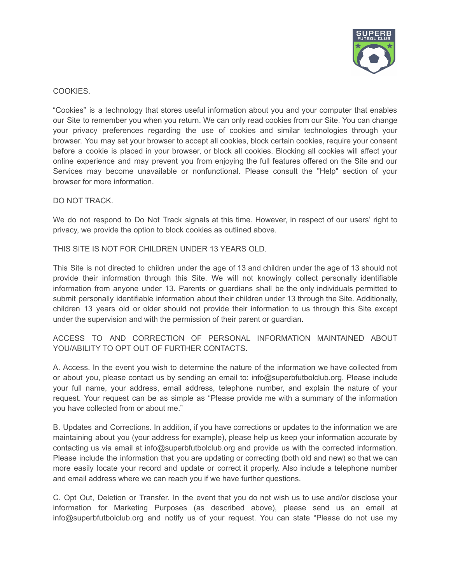

## COOKIES.

"Cookies" is a technology that stores useful information about you and your computer that enables our Site to remember you when you return. We can only read cookies from our Site. You can change your privacy preferences regarding the use of cookies and similar technologies through your browser. You may set your browser to accept all cookies, block certain cookies, require your consent before a cookie is placed in your browser, or block all cookies. Blocking all cookies will affect your online experience and may prevent you from enjoying the full features offered on the Site and our Services may become unavailable or nonfunctional. Please consult the "Help" section of your browser for more information.

### DO NOT TRACK.

We do not respond to Do Not Track signals at this time. However, in respect of our users' right to privacy, we provide the option to block cookies as outlined above.

THIS SITE IS NOT FOR CHILDREN UNDER 13 YEARS OLD.

This Site is not directed to children under the age of 13 and children under the age of 13 should not provide their information through this Site. We will not knowingly collect personally identifiable information from anyone under 13. Parents or guardians shall be the only individuals permitted to submit personally identifiable information about their children under 13 through the Site. Additionally, children 13 years old or older should not provide their information to us through this Site except under the supervision and with the permission of their parent or guardian.

ACCESS TO AND CORRECTION OF PERSONAL INFORMATION MAINTAINED ABOUT YOU/ABILITY TO OPT OUT OF FURTHER CONTACTS.

A. Access. In the event you wish to determine the nature of the information we have collected from or about you, please contact us by sending an email to: info@superbfutbolclub.org. Please include your full name, your address, email address, telephone number, and explain the nature of your request. Your request can be as simple as "Please provide me with a summary of the information you have collected from or about me."

B. Updates and Corrections. In addition, if you have corrections or updates to the information we are maintaining about you (your address for example), please help us keep your information accurate by contacting us via email at info@superbfutbolclub.org and provide us with the corrected information. Please include the information that you are updating or correcting (both old and new) so that we can more easily locate your record and update or correct it properly. Also include a telephone number and email address where we can reach you if we have further questions.

C. Opt Out, Deletion or Transfer. In the event that you do not wish us to use and/or disclose your information for Marketing Purposes (as described above), please send us an email at info@superbfutbolclub.org and notify us of your request. You can state "Please do not use my